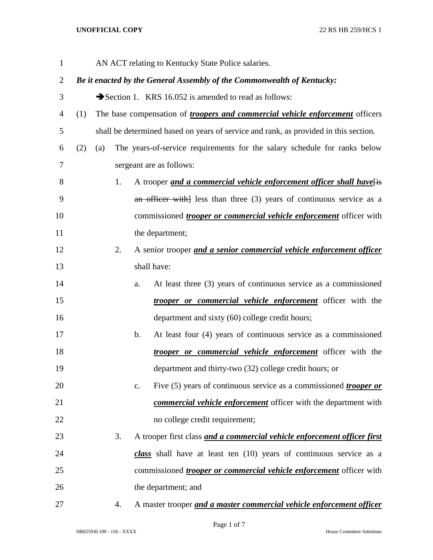| $\mathbf{1}$ | AN ACT relating to Kentucky State Police salaries.                         |                                                                                      |    |    |                                                                                      |
|--------------|----------------------------------------------------------------------------|--------------------------------------------------------------------------------------|----|----|--------------------------------------------------------------------------------------|
| 2            | Be it enacted by the General Assembly of the Commonwealth of Kentucky:     |                                                                                      |    |    |                                                                                      |
| 3            |                                                                            |                                                                                      |    |    | Section 1. KRS 16.052 is amended to read as follows:                                 |
| 4            | (1)                                                                        |                                                                                      |    |    | The base compensation of <i>troopers and commercial vehicle enforcement</i> officers |
| 5            |                                                                            | shall be determined based on years of service and rank, as provided in this section. |    |    |                                                                                      |
| 6            | (2)                                                                        | (a)                                                                                  |    |    | The years-of-service requirements for the salary schedule for ranks below            |
| 7            |                                                                            | sergeant are as follows:                                                             |    |    |                                                                                      |
| 8            |                                                                            |                                                                                      | 1. |    | A trooper and a commercial vehicle enforcement officer shall have[is]                |
| 9            |                                                                            |                                                                                      |    |    | an officer with less than three $(3)$ years of continuous service as a               |
| 10           | commissioned <i>trooper or commercial vehicle enforcement</i> officer with |                                                                                      |    |    |                                                                                      |
| 11           |                                                                            |                                                                                      |    |    | the department;                                                                      |
| 12           |                                                                            |                                                                                      | 2. |    | A senior trooper and a senior commercial vehicle enforcement officer                 |
| 13           |                                                                            |                                                                                      |    |    | shall have:                                                                          |
| 14           |                                                                            |                                                                                      |    | a. | At least three (3) years of continuous service as a commissioned                     |
| 15           |                                                                            |                                                                                      |    |    | <i>trooper or commercial vehicle enforcement</i> officer with the                    |
| 16           |                                                                            |                                                                                      |    |    | department and sixty (60) college credit hours;                                      |
| 17           |                                                                            |                                                                                      |    | b. | At least four (4) years of continuous service as a commissioned                      |
| 18           |                                                                            |                                                                                      |    |    | <i>trooper or commercial vehicle enforcement</i> officer with the                    |
| 19           |                                                                            |                                                                                      |    |    | department and thirty-two (32) college credit hours; or                              |
| 20           |                                                                            |                                                                                      |    | c. | Five (5) years of continuous service as a commissioned <i>trooper or</i>             |
| 21           |                                                                            |                                                                                      |    |    | commercial vehicle enforcement officer with the department with                      |
| 22           |                                                                            |                                                                                      |    |    | no college credit requirement;                                                       |
| 23           |                                                                            |                                                                                      | 3. |    | A trooper first class and a commercial vehicle enforcement officer first             |
| 24           |                                                                            |                                                                                      |    |    | class shall have at least ten (10) years of continuous service as a                  |
| 25           |                                                                            |                                                                                      |    |    | commissioned <i>trooper or commercial vehicle enforcement</i> officer with           |
| 26           |                                                                            |                                                                                      |    |    | the department; and                                                                  |
| 27           |                                                                            |                                                                                      | 4. |    | A master trooper and a master commercial vehicle enforcement officer                 |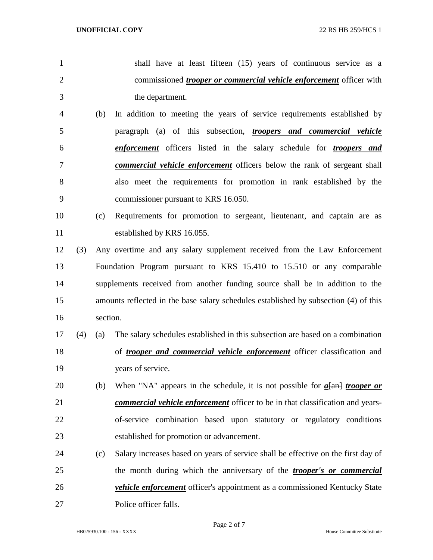- shall have at least fifteen (15) years of continuous service as a commissioned *trooper or commercial vehicle enforcement* officer with the department. (b) In addition to meeting the years of service requirements established by paragraph (a) of this subsection, *troopers and commercial vehicle enforcement* officers listed in the salary schedule for *troopers and*
- *commercial vehicle enforcement* officers below the rank of sergeant shall also meet the requirements for promotion in rank established by the commissioner pursuant to KRS 16.050.
- (c) Requirements for promotion to sergeant, lieutenant, and captain are as established by KRS 16.055.
- (3) Any overtime and any salary supplement received from the Law Enforcement Foundation Program pursuant to KRS 15.410 to 15.510 or any comparable supplements received from another funding source shall be in addition to the amounts reflected in the base salary schedules established by subsection (4) of this section.
- (4) (a) The salary schedules established in this subsection are based on a combination of *trooper and commercial vehicle enforcement* officer classification and years of service.
- (b) When "NA" appears in the schedule, it is not possible for *a*[an] *trooper or commercial vehicle enforcement* officer to be in that classification and years- of-service combination based upon statutory or regulatory conditions established for promotion or advancement.
- (c) Salary increases based on years of service shall be effective on the first day of the month during which the anniversary of the *trooper's or commercial vehicle enforcement* officer's appointment as a commissioned Kentucky State Police officer falls.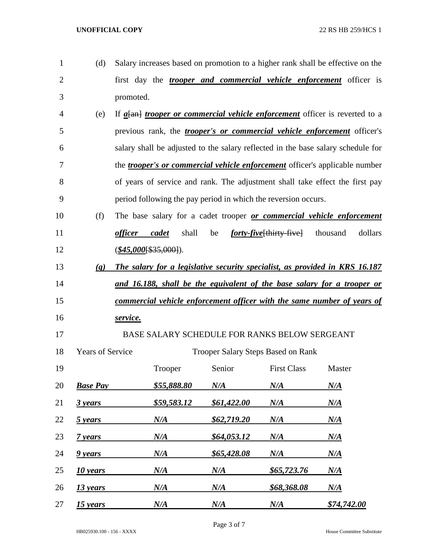| $\mathbf{1}$   | (d)                         |                          |                    |                                           |                                                                | Salary increases based on promotion to a higher rank shall be effective on the        |
|----------------|-----------------------------|--------------------------|--------------------|-------------------------------------------|----------------------------------------------------------------|---------------------------------------------------------------------------------------|
| $\overline{2}$ |                             |                          |                    |                                           |                                                                | first day the <i>trooper and commercial vehicle enforcement</i> officer is            |
| 3              |                             | promoted.                |                    |                                           |                                                                |                                                                                       |
| 4              | (e)                         |                          |                    |                                           |                                                                | If $a$ [an] <i>trooper or commercial vehicle enforcement</i> officer is reverted to a |
| 5              |                             |                          |                    |                                           |                                                                | previous rank, the <i>trooper's or commercial vehicle enforcement</i> officer's       |
| 6              |                             |                          |                    |                                           |                                                                | salary shall be adjusted to the salary reflected in the base salary schedule for      |
| 7              |                             |                          |                    |                                           |                                                                | the <i>trooper's or commercial vehicle enforcement</i> officer's applicable number    |
| 8              |                             |                          |                    |                                           |                                                                | of years of service and rank. The adjustment shall take effect the first pay          |
| 9              |                             |                          |                    |                                           | period following the pay period in which the reversion occurs. |                                                                                       |
| 10             | (f)                         |                          |                    |                                           |                                                                | The base salary for a cadet trooper or commercial vehicle enforcement                 |
| 11             |                             | <i>officer</i>           | cadet<br>shall     | be                                        | <i>forty-five</i> [thirty-five] thousand                       | dollars                                                                               |
| 12             |                             | $(\$45,000$ [\$35,000]). |                    |                                           |                                                                |                                                                                       |
| 13             | $\left( \mathbf{g} \right)$ |                          |                    |                                           |                                                                | The salary for a legislative security specialist, as provided in KRS 16.187           |
| 14             |                             |                          |                    |                                           |                                                                | and 16.188, shall be the equivalent of the base salary for a trooper or               |
| 15             |                             |                          |                    |                                           |                                                                | commercial vehicle enforcement officer with the same number of years of               |
| 16             |                             | service.                 |                    |                                           |                                                                |                                                                                       |
| 17             |                             |                          |                    |                                           | BASE SALARY SCHEDULE FOR RANKS BELOW SERGEANT                  |                                                                                       |
| 18             | <b>Years of Service</b>     |                          |                    | <b>Trooper Salary Steps Based on Rank</b> |                                                                |                                                                                       |
| 19             |                             |                          | Trooper            | Senior                                    | <b>First Class</b>                                             | Master                                                                                |
| 20             | <b>Base Pay</b>             |                          | <u>\$55,888.80</u> | $N\!/\!A$                                 | N/A                                                            | $N\!/\!A$                                                                             |
| 21             | 3 years                     |                          | \$59,583.12        | \$61,422.00                               | N/A                                                            | $N\!/\!A$                                                                             |
| 22             | 5 years                     |                          | $N\!/\!A$          | \$62,719.20                               | N/A                                                            | $N\!/\!A$                                                                             |
| 23             | 7 years                     |                          | N/A                | \$64,053.12                               | N/A                                                            | $N\!/\!A$                                                                             |
| 24             | 9 years                     |                          | N/A                | \$65,428.08                               | N/A                                                            | $N\!/\!A$                                                                             |
| 25             | 10 years                    |                          | N/A                | $N\!/\!A$                                 | <u>\$65,723.76</u>                                             | $N\!/\!A$                                                                             |
| 26             | <u>13 years</u>             |                          | N/A                | N/A                                       | <u>\$68,368.08</u>                                             | $N\!/\!A$                                                                             |
| 27             | 15 years                    |                          | N/A                | N/A                                       | N/A                                                            | \$74,742.00                                                                           |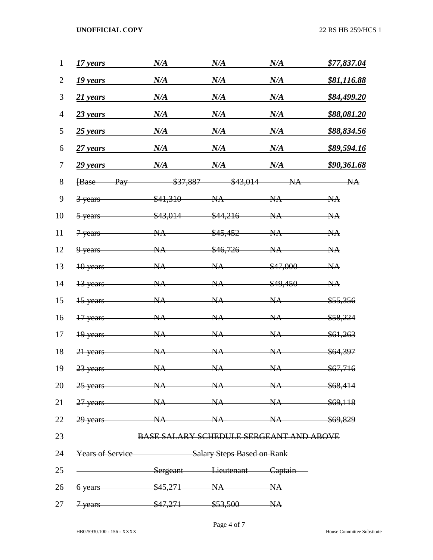| 1              | 17 years                                    | N/A                                            | N/A       | N/A       | \$77,837.04        |
|----------------|---------------------------------------------|------------------------------------------------|-----------|-----------|--------------------|
| $\overline{2}$ | 19 years                                    | N/A                                            | N/A       | N/A       | <u>\$81,116.88</u> |
| 3              | 21 years                                    | N/A                                            | N/A       | N/A       | <u>\$84,499.20</u> |
| $\overline{4}$ | 23 years                                    | N/A                                            | N/A       | N/A       | \$88,081.20        |
| 5              | $25$ years                                  | N/A                                            | N/A       | N/A       | <u>\$88,834.56</u> |
| 6              | $27$ years                                  | N/A                                            | N/A       | N/A       | <u>\$89,594.16</u> |
| 7              | 29 years                                    | N/A                                            | N/A       | N/A       | \$90,361.68        |
| 8              | <b>Base</b><br>Pay                          | \$37,887                                       | \$43,014  | NA        | NA                 |
| 9              | 3 years                                     | \$41,310                                       | NA        | NA        | NA                 |
| 10             | 5-years                                     | \$43,014                                       | \$44,216  | NA        | NA                 |
| 11             | 7 years                                     | NA                                             | \$45,452  | NA        | NA                 |
| 12             | 9 years                                     | NA                                             | \$46,726  | <b>NA</b> | NA                 |
| 13             | 10 years                                    | <b>NA</b>                                      | NA        | \$47,000  | NA                 |
| 14             | 13 years                                    | <b>NA</b>                                      | NA        | \$49,450  | NA                 |
| 15             | 15 years                                    | <b>NA</b>                                      | NA        | NA        | \$55,356           |
| 16             | 17 years                                    | <b>NA</b>                                      | <b>NA</b> | NA        | \$58,224           |
| 17             | 19 years                                    | NA                                             | NA        | NA        | \$61,263           |
| 18             | 21 years                                    | <b>NA</b>                                      | <b>NA</b> | <b>NA</b> | \$64,397           |
| 19             | 23 years                                    | NA                                             | NA        | NA        | \$67,716           |
|                | 20 25 years NA NA NA NA \$68,414            |                                                |           |           |                    |
| 21             | 27 years NA NA NA \$69,118                  |                                                |           |           |                    |
| 22             | 29 years MA NA NA \$69,829                  |                                                |           |           |                    |
| 23             |                                             | <b>BASE SALARY SCHEDULE SERGEANT AND ABOVE</b> |           |           |                    |
| 24             | Years of Service Salary Steps Based on Rank |                                                |           |           |                    |
| 25             | Sergeant Lieutenant Captain                 |                                                |           |           |                    |
| 26             | $6 \text{ years}$ $$45,271$ $NA$ NA         |                                                |           |           |                    |
| 27             | 7 years \$47,271 \$53,500 NA                |                                                |           |           |                    |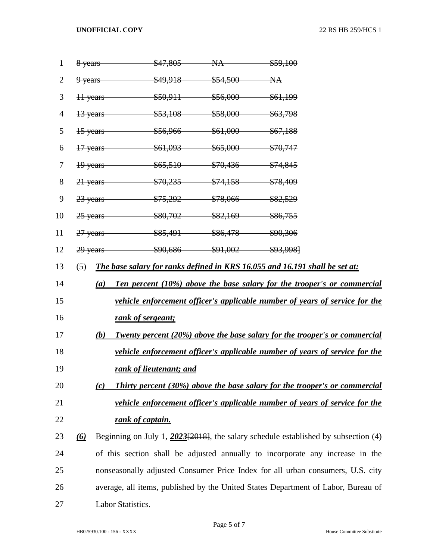| $\mathbf{1}$   |                                                                                    |                                                                               | 8 years \$47,805 NA \$59,100         |  |                                                                                       |  |  |
|----------------|------------------------------------------------------------------------------------|-------------------------------------------------------------------------------|--------------------------------------|--|---------------------------------------------------------------------------------------|--|--|
| $\overline{2}$ |                                                                                    |                                                                               | 9 years \$49,918 \$54,500 NA         |  |                                                                                       |  |  |
| 3              |                                                                                    |                                                                               | 11 years \$50,911 \$56,000 \$61,199  |  |                                                                                       |  |  |
| 4              |                                                                                    |                                                                               | 13 years \$53,108 \$58,000 \$63,798  |  |                                                                                       |  |  |
| 5              |                                                                                    |                                                                               | 15 years \$56,966 \$61,000 \$67,188  |  |                                                                                       |  |  |
| 6              |                                                                                    |                                                                               | 17 years \$61,093 \$65,000 \$70,747  |  |                                                                                       |  |  |
| 7              |                                                                                    |                                                                               | 19 years \$65,510 \$70,436 \$74,845  |  |                                                                                       |  |  |
| 8              |                                                                                    |                                                                               | 21 years \$70,235 \$74,158 \$78,409  |  |                                                                                       |  |  |
| 9              |                                                                                    |                                                                               | 23 years \$75,292 \$78,066 \$82,529  |  |                                                                                       |  |  |
| 10             |                                                                                    |                                                                               | 25 years \$80,702 \$82,169 \$86,755  |  |                                                                                       |  |  |
| 11             |                                                                                    |                                                                               | 27 years \$85,491 \$86,478 \$90,306  |  |                                                                                       |  |  |
| 12             |                                                                                    |                                                                               | 29 years \$90,686 \$91,002 \$93,998] |  |                                                                                       |  |  |
| 13             | (5)<br>The base salary for ranks defined in KRS 16.055 and 16.191 shall be set at: |                                                                               |                                      |  |                                                                                       |  |  |
| 14             | Ten percent (10%) above the base salary for the trooper's or commercial<br>(a)     |                                                                               |                                      |  |                                                                                       |  |  |
| 15             |                                                                                    |                                                                               |                                      |  | <u>vehicle enforcement officer's applicable number of years of service for the</u>    |  |  |
| 16             |                                                                                    |                                                                               | rank of sergeant;                    |  |                                                                                       |  |  |
| 17             |                                                                                    | (b)                                                                           |                                      |  | <b>Twenty percent (20%) above the base salary for the trooper's or commercial</b>     |  |  |
| 18             |                                                                                    |                                                                               |                                      |  | vehicle enforcement officer's applicable number of years of service for the           |  |  |
| 19             |                                                                                    |                                                                               | rank of lieutenant; and              |  |                                                                                       |  |  |
| 20             |                                                                                    | (c)                                                                           |                                      |  | <b>Thirty percent (30%) above the base salary for the trooper's or commercial</b>     |  |  |
| 21             | vehicle enforcement officer's applicable number of years of service for the        |                                                                               |                                      |  |                                                                                       |  |  |
| 22             |                                                                                    |                                                                               | rank of captain.                     |  |                                                                                       |  |  |
| 23             | $\omega$                                                                           |                                                                               |                                      |  | Beginning on July 1, $2023[2018]$ , the salary schedule established by subsection (4) |  |  |
| 24             |                                                                                    | of this section shall be adjusted annually to incorporate any increase in the |                                      |  |                                                                                       |  |  |
| 25             | nonseasonally adjusted Consumer Price Index for all urban consumers, U.S. city     |                                                                               |                                      |  |                                                                                       |  |  |
| 26             |                                                                                    |                                                                               |                                      |  | average, all items, published by the United States Department of Labor, Bureau of     |  |  |
| 27             |                                                                                    |                                                                               | Labor Statistics.                    |  |                                                                                       |  |  |
|                |                                                                                    |                                                                               |                                      |  |                                                                                       |  |  |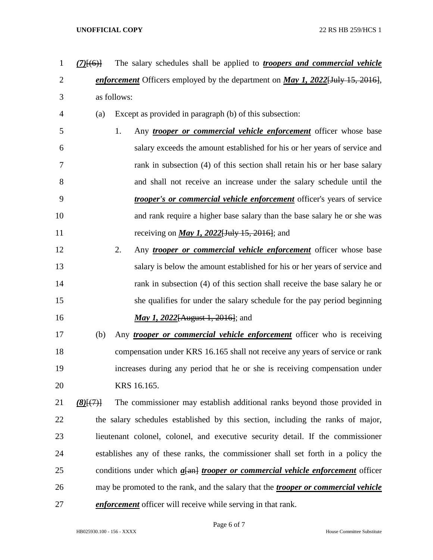*enforcement* Officers employed by the department on *May 1, 2022*[July 15, 2016], as follows: (a) Except as provided in paragraph (b) of this subsection: 1. Any *trooper or commercial vehicle enforcement* officer whose base salary exceeds the amount established for his or her years of service and rank in subsection (4) of this section shall retain his or her base salary and shall not receive an increase under the salary schedule until the *trooper's or commercial vehicle enforcement* officer's years of service and rank require a higher base salary than the base salary he or she was receiving on *May 1, 2022*[July 15, 2016]; and 2. Any *trooper or commercial vehicle enforcement* officer whose base salary is below the amount established for his or her years of service and 14 rank in subsection (4) of this section shall receive the base salary he or she qualifies for under the salary schedule for the pay period beginning *May 1, 2022*[August 1, 2016]; and (b) Any *trooper or commercial vehicle enforcement* officer who is receiving compensation under KRS 16.165 shall not receive any years of service or rank increases during any period that he or she is receiving compensation under KRS 16.165. *(8)*[(7)] The commissioner may establish additional ranks beyond those provided in the salary schedules established by this section, including the ranks of major, lieutenant colonel, colonel, and executive security detail. If the commissioner establishes any of these ranks, the commissioner shall set forth in a policy the

*(7)*[(6)] The salary schedules shall be applied to *troopers and commercial vehicle* 

 may be promoted to the rank, and the salary that the *trooper or commercial vehicle enforcement* officer will receive while serving in that rank.

conditions under which *a*[an] *trooper or commercial vehicle enforcement* officer